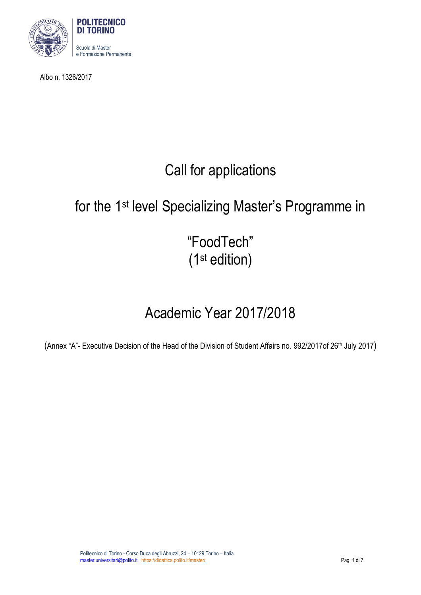

Albo n. 1326/2017

# Call for applications

# for the 1<sup>st</sup> level Specializing Master's Programme in

"FoodTech" (1st edition)

# Academic Year 2017/2018

(Annex "A"- Executive Decision of the Head of the Division of Student Affairs no. 992/2017of 26th July 2017)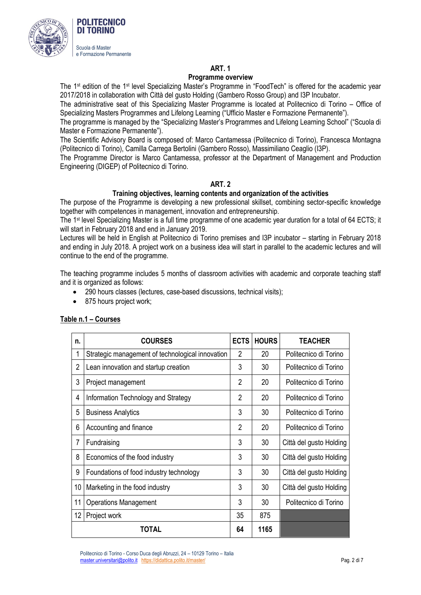

# **ART. 1**

### **Programme overview**

The 1st edition of the 1st level Specializing Master's Programme in "FoodTech" is offered for the academic year 2017/2018 in collaboration with Città del gusto Holding (Gambero Rosso Group) and I3P Incubator.

The administrative seat of this Specializing Master Programme is located at Politecnico di Torino – Office of Specializing Masters Programmes and Lifelong Learning ("Ufficio Master e Formazione Permanente").

The programme is managed by the "Specializing Master's Programmes and Lifelong Learning School" ("Scuola di Master e Formazione Permanente").

The Scientific Advisory Board is composed of: Marco Cantamessa (Politecnico di Torino), Francesca Montagna (Politecnico di Torino), Camilla Carrega Bertolini (Gambero Rosso), Massimiliano Ceaglio (I3P).

The Programme Director is Marco Cantamessa, professor at the Department of Management and Production Engineering (DIGEP) of Politecnico di Torino.

### **ART. 2**

### **Training objectives, learning contents and organization of the activities**

The purpose of the Programme is developing a new professional skillset, combining sector-specific knowledge together with competences in management, innovation and entrepreneurship.

The 1 st level Specializing Master is a full time programme of one academic year duration for a total of 64 ECTS; it will start in February 2018 and end in January 2019.

Lectures will be held in English at Politecnico di Torino premises and I3P incubator – starting in February 2018 and ending in July 2018. A project work on a business idea will start in parallel to the academic lectures and will continue to the end of the programme.

The teaching programme includes 5 months of classroom activities with academic and corporate teaching staff and it is organized as follows:

- 290 hours classes (lectures, case-based discussions, technical visits);
- 875 hours project work;

| n.             | <b>COURSES</b>                                   | <b>ECTS</b>    | <b>HOURS</b> | <b>TEACHER</b>          |
|----------------|--------------------------------------------------|----------------|--------------|-------------------------|
| 1              | Strategic management of technological innovation | 2              | 20           | Politecnico di Torino   |
| $\overline{2}$ | Lean innovation and startup creation             | 3              | 30           | Politecnico di Torino   |
| 3              | Project management                               | $\overline{2}$ | 20           | Politecnico di Torino   |
| 4              | Information Technology and Strategy              | $\overline{2}$ | 20           | Politecnico di Torino   |
| 5              | <b>Business Analytics</b>                        | 3              | 30           | Politecnico di Torino   |
| 6              | Accounting and finance                           | $\overline{2}$ | 20           | Politecnico di Torino   |
| $\overline{7}$ | Fundraising                                      | 3              | 30           | Città del gusto Holding |
| 8              | Economics of the food industry                   | 3              | 30           | Città del gusto Holding |
| 9              | Foundations of food industry technology          | 3              | 30           | Città del gusto Holding |
| 10             | Marketing in the food industry                   | 3              | 30           | Città del gusto Holding |
| 11             | <b>Operations Management</b>                     | 3              | 30           | Politecnico di Torino   |
| 12             | Project work                                     | 35             | 875          |                         |
| TOTAL          |                                                  |                | 1165         |                         |

# **Table n.1 – Courses**

Politecnico di Torino - Corso Duca degli Abruzzi, 24 – 10129 Torino – Italia master.universitari@polito.it https://didattica.polito.it/master/ Pag. 2 di 7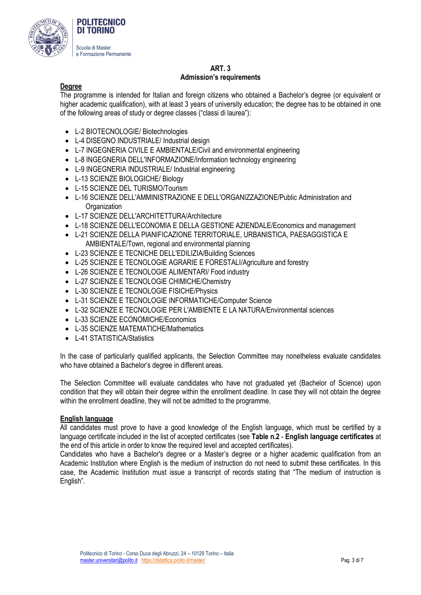

# **ART. 3 Admission's requirements**

# **Degree**

The programme is intended for Italian and foreign citizens who obtained a Bachelor's degree (or equivalent or higher academic qualification), with at least 3 years of university education; the degree has to be obtained in one of the following areas of study or degree classes ("classi di laurea"):

- L-2 BIOTECNOLOGIE/ Biotechnologies
- L-4 DISEGNO INDUSTRIALE/ Industrial design
- L-7 INGEGNERIA CIVILE E AMBIENTALE/Civil and environmental engineering
- L-8 INGEGNERIA DELL'INFORMAZIONE/Information technology engineering
- L-9 INGEGNERIA INDUSTRIALE/ Industrial engineering
- L-13 SCIENZE BIOLOGICHE/ Biology
- L-15 SCIENZE DEL TURISMO/Tourism
- L-16 SCIENZE DELL'AMMINISTRAZIONE E DELL'ORGANIZZAZIONE/Public Administration and **Organization**
- L-17 SCIENZE DELL'ARCHITETTURA/Architecture
- L-18 SCIENZE DELL'ECONOMIA E DELLA GESTIONE AZIENDALE/Economics and management
- L-21 SCIENZE DELLA PIANIFICAZIONE TERRITORIALE, URBANISTICA, PAESAGGISTICA E AMBIENTALE/Town, regional and environmental planning
- L-23 SCIENZE E TECNICHE DELL'EDILIZIA/Building Sciences
- L-25 SCIENZE E TECNOLOGIE AGRARIE E FORESTALI/Agriculture and forestry
- L-26 SCIENZE E TECNOLOGIE ALIMENTARI/ Food industry
- L-27 SCIENZE E TECNOLOGIE CHIMICHE/Chemistry
- L-30 SCIENZE E TECNOLOGIE FISICHE/Physics
- L-31 SCIENZE E TECNOLOGIE INFORMATICHE/Computer Science
- L-32 SCIENZE E TECNOLOGIE PER L'AMBIENTE E LA NATURA/Environmental sciences
- L-33 SCIENZE ECONOMICHE/Economics
- L-35 SCIENZE MATEMATICHE/Mathematics
- L-41 STATISTICA/Statistics

In the case of particularly qualified applicants, the Selection Committee may nonetheless evaluate candidates who have obtained a Bachelor's degree in different areas.

The Selection Committee will evaluate candidates who have not graduated yet (Bachelor of Science) upon condition that they will obtain their degree within the enrollment deadline. In case they will not obtain the degree within the enrollment deadline, they will not be admitted to the programme.

#### **English language**

All candidates must prove to have a good knowledge of the English language, which must be certified by a language certificate included in the list of accepted certificates (see **Table n.2** - **English language certificates** at the end of this article in order to know the required level and accepted certificates).

Candidates who have a Bachelor's degree or a Master's degree or a higher academic qualification from an Academic Institution where English is the medium of instruction do not need to submit these certificates. In this case, the Academic Institution must issue a transcript of records stating that "The medium of instruction is English".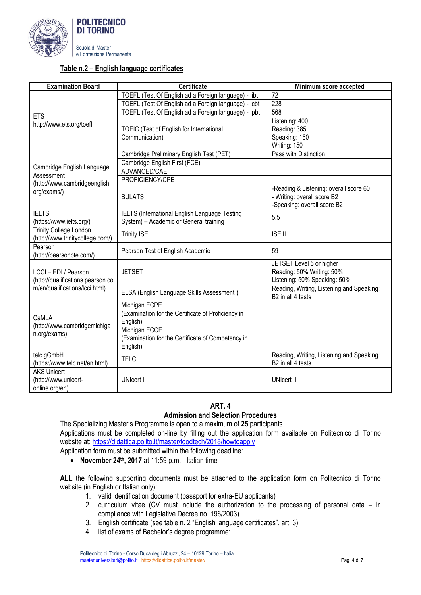

## **Table n.2 – English language certificates**

| <b>Examination Board</b>                                          | <b>Certificate</b>                                                                      | Minimum score accepted                                                                               |  |
|-------------------------------------------------------------------|-----------------------------------------------------------------------------------------|------------------------------------------------------------------------------------------------------|--|
|                                                                   | TOEFL (Test Of English ad a Foreign language) -<br>ibt                                  | 72                                                                                                   |  |
|                                                                   | TOEFL (Test Of English ad a Foreign language) - cbt                                     | $\overline{228}$                                                                                     |  |
| <b>ETS</b>                                                        | TOEFL (Test Of English ad a Foreign language) - pbt                                     | 568                                                                                                  |  |
| http://www.ets.org/toefl                                          | TOEIC (Test of English for International                                                | Listening: 400<br>Reading: 385                                                                       |  |
|                                                                   | Communication)                                                                          | Speaking: 160<br>Writing: 150                                                                        |  |
|                                                                   | Cambridge Preliminary English Test (PET)                                                | Pass with Distinction                                                                                |  |
|                                                                   | Cambridge English First (FCE)                                                           |                                                                                                      |  |
| Cambridge English Language                                        | ADVANCED/CAE                                                                            |                                                                                                      |  |
| Assessment                                                        | PROFICIENCY/CPE                                                                         |                                                                                                      |  |
| (http://www.cambridgeenglish.<br>org/exams/)                      | <b>BULATS</b>                                                                           | -Reading & Listening: overall score 60<br>- Writing: overall score B2<br>-Speaking: overall score B2 |  |
| <b>IELTS</b><br>(https://www.ielts.org/)                          | IELTS (International English Language Testing<br>System) - Academic or General training | 5.5                                                                                                  |  |
| <b>Trinity College London</b><br>(http://www.trinitycollege.com/) | <b>Trinity ISE</b>                                                                      | <b>ISE II</b>                                                                                        |  |
| Pearson<br>(http://pearsonpte.com/)                               | Pearson Test of English Academic                                                        | 59                                                                                                   |  |
| LCCI - EDI / Pearson<br>(http://qualifications.pearson.co         | <b>JETSET</b>                                                                           | JETSET Level 5 or higher<br>Reading: 50% Writing: 50%<br>Listening: 50% Speaking: 50%                |  |
| m/en/qualifications/lcci.html)                                    | ELSA (English Language Skills Assessment)                                               | Reading, Writing, Listening and Speaking:<br>B2 in all 4 tests                                       |  |
| CaMLA<br>(http://www.cambridgemichiga                             | Michigan ECPE<br>(Examination for the Certificate of Proficiency in<br>English)         |                                                                                                      |  |
| n.org/exams)                                                      | Michigan ECCE<br>(Examination for the Certificate of Competency in<br>English)          |                                                                                                      |  |
| telc gGmbH<br>(https://www.telc.net/en.html)                      | <b>TELC</b>                                                                             | Reading, Writing, Listening and Speaking:<br>B2 in all 4 tests                                       |  |
| <b>AKS Unicert</b>                                                |                                                                                         |                                                                                                      |  |
| (http://www.unicert-                                              | <b>UNIcert II</b>                                                                       | <b>UNIcert II</b>                                                                                    |  |
| online.org/en)                                                    |                                                                                         |                                                                                                      |  |

# **ART. 4 Admission and Selection Procedures**

The Specializing Master's Programme is open to a maximum of **25** participants. Applications must be completed on-line by filling out the application form available on Politecnico di Torino website at[: https://didattica.polito.it/master/foodtech/2018/howtoapply](https://didattica.polito.it/master/foodtech/2018/howtoapply)

Application form must be submitted within the following deadline:

**November 24th, 2017** at 11:59 p.m. - Italian time

ALL the following supporting documents must be attached to the application form on Politecnico di Torino website (in English or Italian only):

- 1. valid identification document (passport for extra-EU applicants)
- 2. curriculum vitae (CV must include the authorization to the processing of personal data in compliance with Legislative Decree no. 196/2003)
- 3. English certificate (see table n. 2 "English language certificates", art. 3)
- 4. list of exams of Bachelor's degree programme: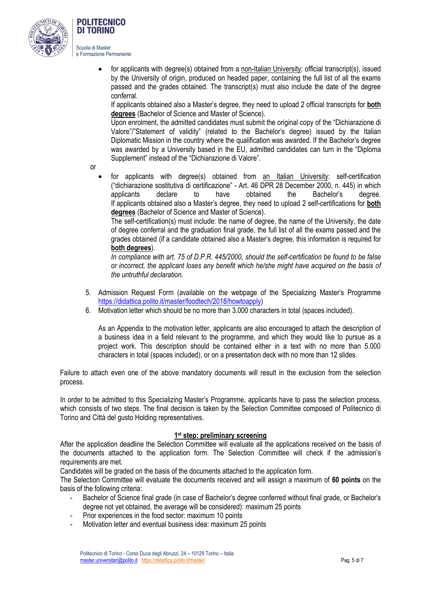

# DI TORINO Scuola di Master

**POLITECNICO** 

e Formazione Permanente

• for applicants with degree(s) obtained from a non-Italian University: official transcript(s), issued by the University of origin, produced on headed paper, containing the full list of all the exams passed and the grades obtained. The transcript(s) must also include the date of the degree conferral.

If applicants obtained also a Master's degree, they need to upload 2 official transcripts for **both degrees** (Bachelor of Science and Master of Science).

Upon enrolment, the admitted candidates must submit the original copy of the "Dichiarazione di Valore"/"Statement of validity" (related to the Bachelor's degree) issued by the Italian Diplomatic Mission in the country where the qualification was awarded. If the Bachelor's degree was awarded by a University based in the EU, admitted candidates can turn in the "Diploma Supplement" instead of the "Dichiarazione di Valore".

or

 for applicants with degree(s) obtained from an Italian University: self-certification ("dichiarazione sostitutiva di certificazione" - Art. 46 DPR 28 December 2000, n. 445) in which applicants declare to have obtained the Bachelor's degree. If applicants obtained also a Master's degree, they need to upload 2 self-certifications for **both degrees** (Bachelor of Science and Master of Science).

The self-certification(s) must include: the name of degree, the name of the University, the date of degree conferral and the graduation final grade, the full list of all the exams passed and the grades obtained (if a candidate obtained also a Master's degree, this information is required for **both degrees**).

*In compliance with art. 75 of D.P.R. 445/2000, should the self-certification be found to be false or incorrect, the applicant loses any benefit which he/she might have acquired on the basis of the untruthful declaration.*

- 5. Admission Request Form (available on the webpage of the Specializing Master's Programme [https://didattica.polito.it/master/foodtech/2018/howtoapply\)](https://didattica.polito.it/master/foodtech/2018/howtoapply)
- 6. Motivation letter which should be no more than 3.000 characters in total (spaces included).

As an Appendix to the motivation letter, applicants are also encouraged to attach the description of a business idea in a field relevant to the programme, and which they would like to pursue as a project work. This description should be contained either in a text with no more than 5.000 characters in total (spaces included), or on a presentation deck with no more than 12 slides.

Failure to attach even one of the above mandatory documents will result in the exclusion from the selection process.

In order to be admitted to this Specializing Master's Programme, applicants have to pass the selection process, which consists of two steps. The final decision is taken by the Selection Committee composed of Politecnico di Torino and Città del gusto Holding representatives.

# **1 st step: preliminary screening**

After the application deadline the Selection Committee will evaluate all the applications received on the basis of the documents attached to the application form. The Selection Committee will check if the admission's requirements are met.

Candidates will be graded on the basis of the documents attached to the application form.

The Selection Committee will evaluate the documents received and will assign a maximum of **60 points** on the basis of the following criteria:

- Bachelor of Science final grade (in case of Bachelor's degree conferred without final grade, or Bachelor's degree not yet obtained, the average will be considered): maximum 25 points
- Prior experiences in the food sector: maximum 10 points
- Motivation letter and eventual business idea: maximum 25 points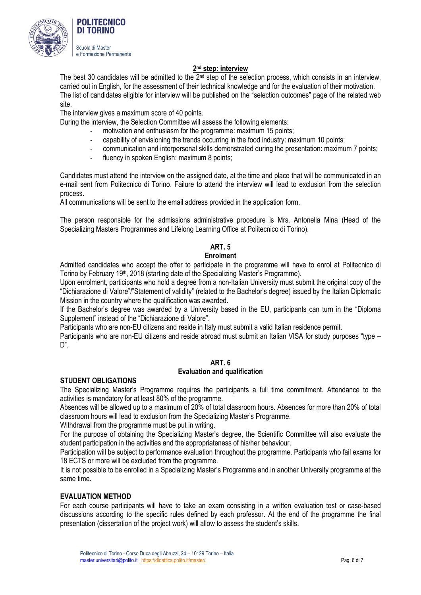

# **2 nd step: interview**

The best 30 candidates will be admitted to the 2<sup>nd</sup> step of the selection process, which consists in an interview, carried out in English, for the assessment of their technical knowledge and for the evaluation of their motivation. The list of candidates eligible for interview will be published on the "selection outcomes" page of the related web site.

The interview gives a maximum score of 40 points.

During the interview, the Selection Committee will assess the following elements:

- motivation and enthusiasm for the programme: maximum 15 points;
	- capability of envisioning the trends occurring in the food industry: maximum 10 points;
	- communication and interpersonal skills demonstrated during the presentation: maximum 7 points;
	- fluency in spoken English: maximum 8 points;

Candidates must attend the interview on the assigned date, at the time and place that will be communicated in an e-mail sent from Politecnico di Torino. Failure to attend the interview will lead to exclusion from the selection process.

All communications will be sent to the email address provided in the application form.

The person responsible for the admissions administrative procedure is Mrs. Antonella Mina (Head of the Specializing Masters Programmes and Lifelong Learning Office at Politecnico di Torino).

### **ART. 5**

#### **Enrolment**

Admitted candidates who accept the offer to participate in the programme will have to enrol at Politecnico di Torino by February 19<sup>th</sup>, 2018 (starting date of the Specializing Master's Programme).

Upon enrolment, participants who hold a degree from a non-Italian University must submit the original copy of the "Dichiarazione di Valore"/"Statement of validity" (related to the Bachelor's degree) issued by the Italian Diplomatic Mission in the country where the qualification was awarded.

If the Bachelor's degree was awarded by a University based in the EU, participants can turn in the "Diploma Supplement" instead of the "Dichiarazione di Valore".

Participants who are non-EU citizens and reside in Italy must submit a valid Italian residence permit.

Participants who are non-EU citizens and reside abroad must submit an Italian VISA for study purposes "type – D".

#### **ART. 6 Evaluation and qualification**

#### **STUDENT OBLIGATIONS**

The Specializing Master's Programme requires the participants a full time commitment. Attendance to the activities is mandatory for at least 80% of the programme.

Absences will be allowed up to a maximum of 20% of total classroom hours. Absences for more than 20% of total classroom hours will lead to exclusion from the Specializing Master's Programme.

Withdrawal from the programme must be put in writing.

For the purpose of obtaining the Specializing Master's degree, the Scientific Committee will also evaluate the student participation in the activities and the appropriateness of his/her behaviour.

Participation will be subject to performance evaluation throughout the programme. Participants who fail exams for 18 ECTS or more will be excluded from the programme.

It is not possible to be enrolled in a Specializing Master's Programme and in another University programme at the same time.

#### **EVALUATION METHOD**

For each course participants will have to take an exam consisting in a written evaluation test or case-based discussions according to the specific rules defined by each professor. At the end of the programme the final presentation (dissertation of the project work) will allow to assess the student's skills.